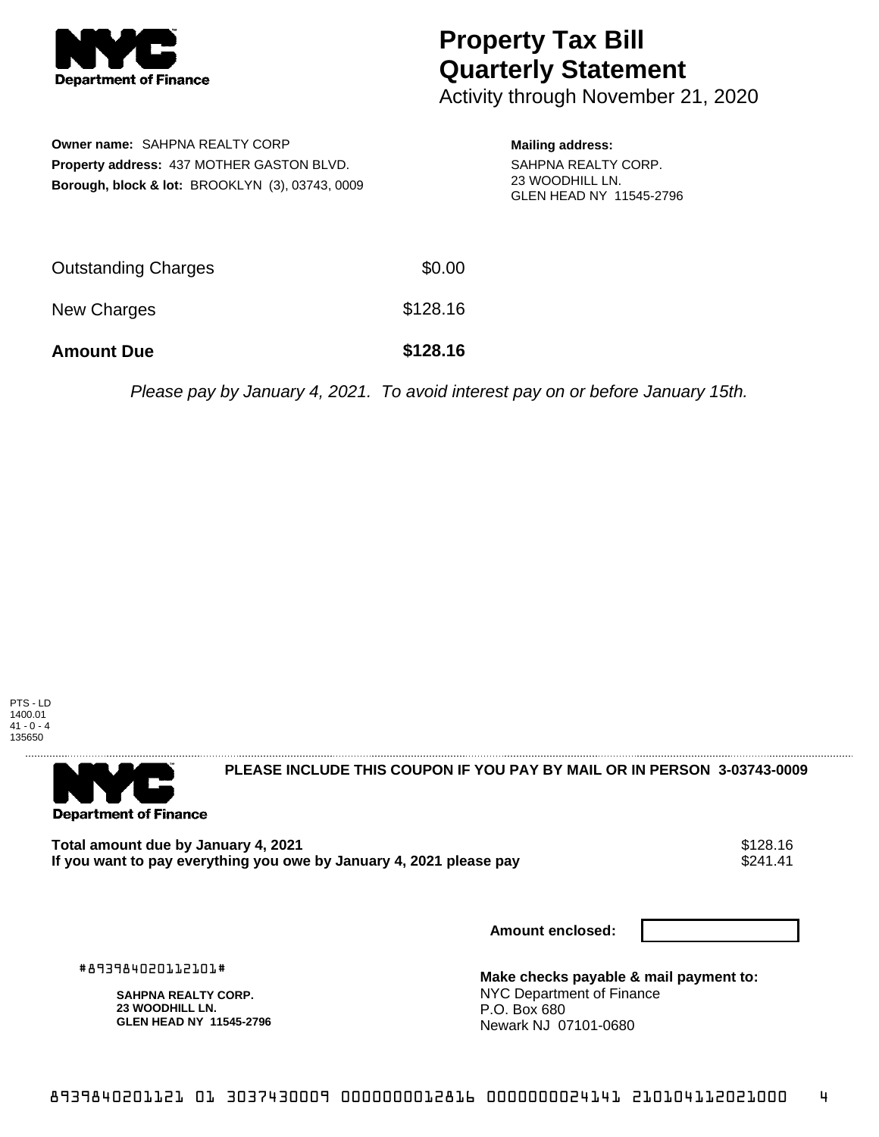

## **Property Tax Bill Quarterly Statement**

Activity through November 21, 2020

|                                                  | <b>Owner name: SAHPNA REALTY CORP</b>           |  |  |  |
|--------------------------------------------------|-------------------------------------------------|--|--|--|
| <b>Property address: 437 MOTHER GASTON BLVD.</b> |                                                 |  |  |  |
|                                                  | Borough, block & lot: BROOKLYN (3), 03743, 0009 |  |  |  |

## **Mailing address:** SAHPNA REALTY CORP. 23 WOODHILL LN. GLEN HEAD NY 11545-2796

| <b>Amount Due</b>   | \$128.16 |
|---------------------|----------|
| New Charges         | \$128.16 |
| Outstanding Charges | \$0.00   |

Please pay by January 4, 2021. To avoid interest pay on or before January 15th.





**PLEASE INCLUDE THIS COUPON IF YOU PAY BY MAIL OR IN PERSON 3-03743-0009** 

Total amount due by January 4, 2021<br>If you want to pay everything you owe by January 4, 2021 please pay **show that we say that the summer wave** \$241.41 If you want to pay everything you owe by January 4, 2021 please pay

**Amount enclosed:**

#893984020112101#

**SAHPNA REALTY CORP. 23 WOODHILL LN. GLEN HEAD NY 11545-2796** **Make checks payable & mail payment to:** NYC Department of Finance P.O. Box 680 Newark NJ 07101-0680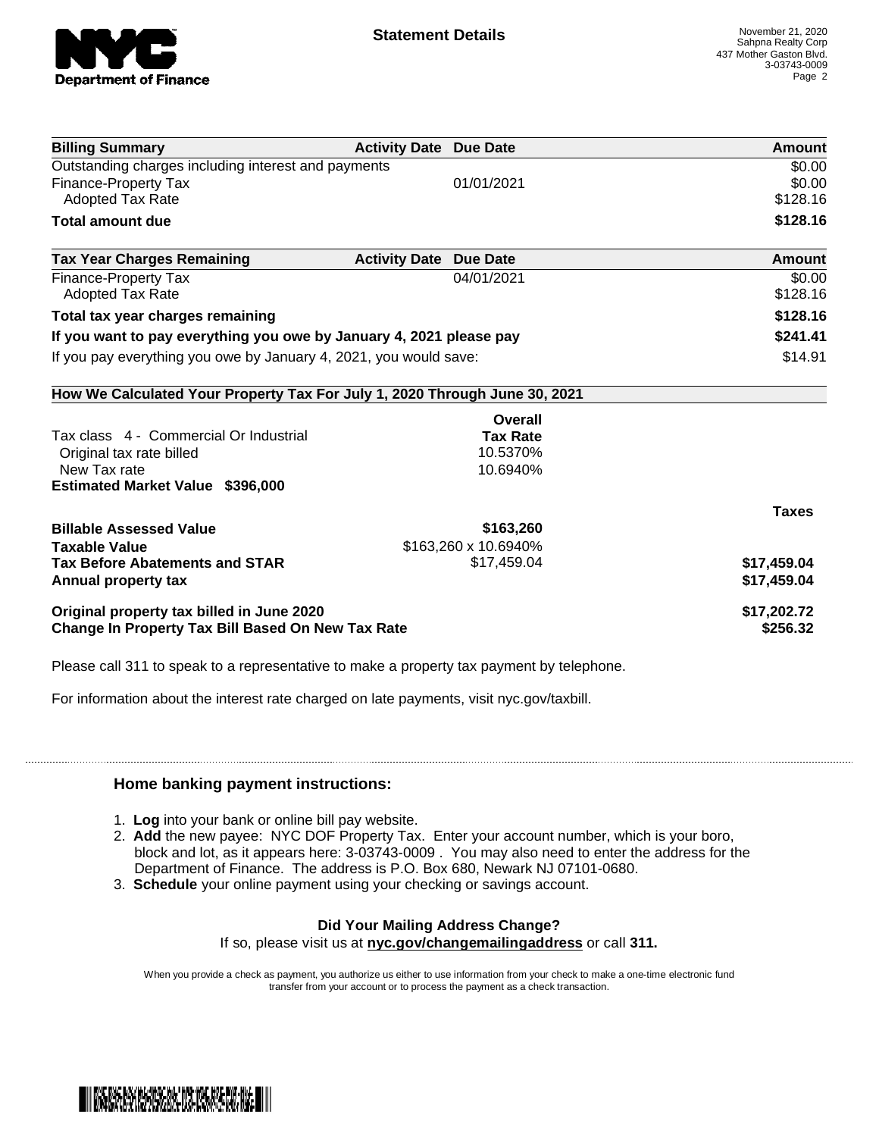

| <b>Billing Summary</b>                                                     | <b>Activity Date Due Date</b>           | Amount       |
|----------------------------------------------------------------------------|-----------------------------------------|--------------|
| Outstanding charges including interest and payments                        |                                         | \$0.00       |
| <b>Finance-Property Tax</b>                                                | 01/01/2021                              | \$0.00       |
| <b>Adopted Tax Rate</b>                                                    |                                         | \$128.16     |
| <b>Total amount due</b>                                                    |                                         | \$128.16     |
| <b>Tax Year Charges Remaining</b>                                          | <b>Activity Date</b><br><b>Due Date</b> | Amount       |
| Finance-Property Tax                                                       | 04/01/2021                              | \$0.00       |
| Adopted Tax Rate                                                           |                                         | \$128.16     |
| Total tax year charges remaining                                           | \$128.16                                |              |
| If you want to pay everything you owe by January 4, 2021 please pay        | \$241.41                                |              |
| If you pay everything you owe by January 4, 2021, you would save:          | \$14.91                                 |              |
| How We Calculated Your Property Tax For July 1, 2020 Through June 30, 2021 |                                         |              |
|                                                                            | Overall                                 |              |
| Tax class 4 - Commercial Or Industrial                                     | <b>Tax Rate</b>                         |              |
| Original tax rate billed                                                   | 10.5370%                                |              |
| New Tax rate                                                               | 10.6940%                                |              |
| <b>Estimated Market Value \$396,000</b>                                    |                                         |              |
|                                                                            |                                         | <b>Taxes</b> |
| <b>Billable Assessed Value</b>                                             | \$163,260                               |              |
| <b>Taxable Value</b>                                                       | \$163,260 x 10.6940%                    |              |
| <b>Tax Before Abatements and STAR</b>                                      | \$17,459.04                             | \$17,459.04  |
| Annual property tax                                                        |                                         | \$17,459.04  |
| Original property tax billed in June 2020                                  | \$17,202.72                             |              |
| <b>Change In Property Tax Bill Based On New Tax Rate</b>                   | \$256.32                                |              |

Please call 311 to speak to a representative to make a property tax payment by telephone.

For information about the interest rate charged on late payments, visit nyc.gov/taxbill.

## **Home banking payment instructions:**

- 1. **Log** into your bank or online bill pay website.
- 2. **Add** the new payee: NYC DOF Property Tax. Enter your account number, which is your boro, block and lot, as it appears here: 3-03743-0009 . You may also need to enter the address for the Department of Finance. The address is P.O. Box 680, Newark NJ 07101-0680.
- 3. **Schedule** your online payment using your checking or savings account.

## **Did Your Mailing Address Change?** If so, please visit us at **nyc.gov/changemailingaddress** or call **311.**

When you provide a check as payment, you authorize us either to use information from your check to make a one-time electronic fund transfer from your account or to process the payment as a check transaction.